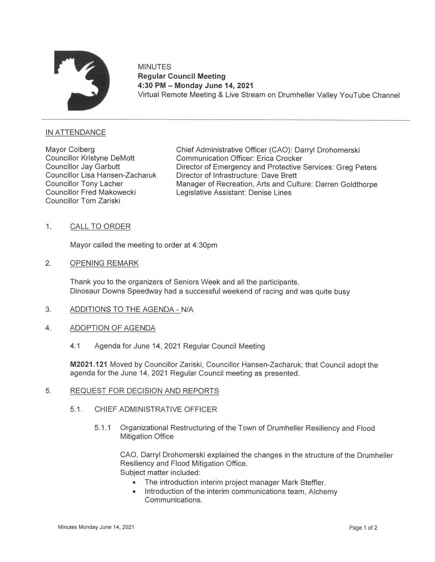

MINUTES Regular Council Meeting 4:30 PM — Monday June 14, 2021 Virtual Remote Meeting & Live Stream on Drumheller Valley YouTube Channel

## IN ATTENDANCE

Councillor Tom Zariski

Mayor Colberg Chief Administrative Officer (CAO): Darryl Drohomerski<br>Councillor Kristyne DeMott Communication Officer: Erica Crocker Communication Officer: Erica Crocker Councillor Jay Garbutt Director of Emergency and Protective Services: Greg Peters Councillor Lisa Hansen-Zacharuk Director of Infrastructure: Dave Brett<br>Councillor Tony Lacher Manager of Recreation. Arts and Cult Councillor Tony Lacher Manager of Recreation, Arts and Culture: Darren Goldthorpe<br>Councillor Fred Makowecki Legislative Assistant: Denise Lines Legislative Assistant: Denise Lines

## 1. CALL TO ORDER

Mayor called the meeting to order at 4:30pm

 $2.$ OPENING REMARK

> Thank you to the organizers of Seniors Week and all the participants. Dinosaur Downs Speedway had a successful weekend of racing and was quite busy

- 3. ADDITIONS TO THE AGENDA - N/A
- 4. ADOPTION OF AGENDA
	- 4.1 Agenda for June 14, 2021 Regular Council Meeting

M2021.121 Moved by Councillor Zariski, Councillor Hansen-Zacharuk; that Council adopt the agenda for the June 14, 2021 Regular Council meeting as presented.

## 5. REQUEST FOR DECISION AND REPORTS

- 5.1. CHIEF ADMINISTRATIVE OFFICER
	- 5.1.1 Organizational Restructuring of the Town of Drumheller Resiliency and Flood Mitigation Office

CAO, Darryl Drohomerski explained the changes in the structure of the Drumheller Resiliency and Flood Mitigation Office. Subject matter included:

- The introduction interim project manager Mark Steffler.
- Introduction of the interim communications team, Alchemy Communications.